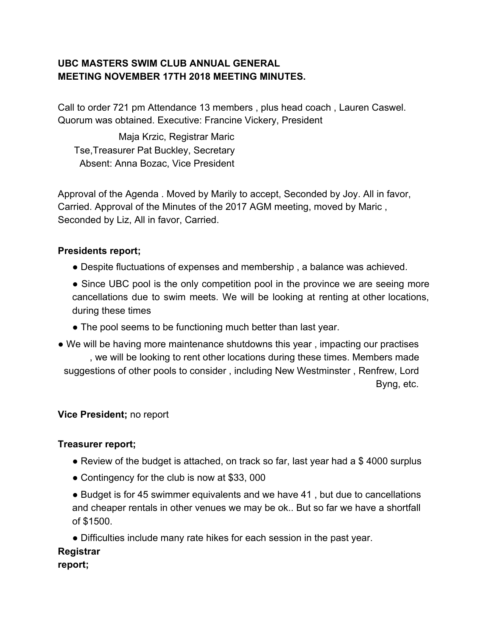## **UBC MASTERS SWIM CLUB ANNUAL GENERAL MEETING NOVEMBER 17TH 2018 MEETING MINUTES.**

Call to order 721 pm Attendance 13 members , plus head coach , Lauren Caswel. Quorum was obtained. Executive: Francine Vickery, President

Maja Krzic, Registrar Maric Tse,Treasurer Pat Buckley, Secretary Absent: Anna Bozac, Vice President

Approval of the Agenda . Moved by Marily to accept, Seconded by Joy. All in favor, Carried. Approval of the Minutes of the 2017 AGM meeting, moved by Maric , Seconded by Liz, All in favor, Carried.

## **Presidents report;**

- Despite fluctuations of expenses and membership , a balance was achieved.
- Since UBC pool is the only competition pool in the province we are seeing more cancellations due to swim meets. We will be looking at renting at other locations, during these times
- The pool seems to be functioning much better than last year.
- We will be having more maintenance shutdowns this year , impacting our practises , we will be looking to rent other locations during these times. Members made suggestions of other pools to consider , including New Westminster , Renfrew, Lord Byng, etc.

### **Vice President;** no report

### **Treasurer report;**

- Review of the budget is attached, on track so far, last year had a \$4000 surplus
- Contingency for the club is now at \$33, 000
- Budget is for 45 swimmer equivalents and we have 41 , but due to cancellations and cheaper rentals in other venues we may be ok.. But so far we have a shortfall of \$1500.
- Difficulties include many rate hikes for each session in the past year.

# **Registrar**

**report;**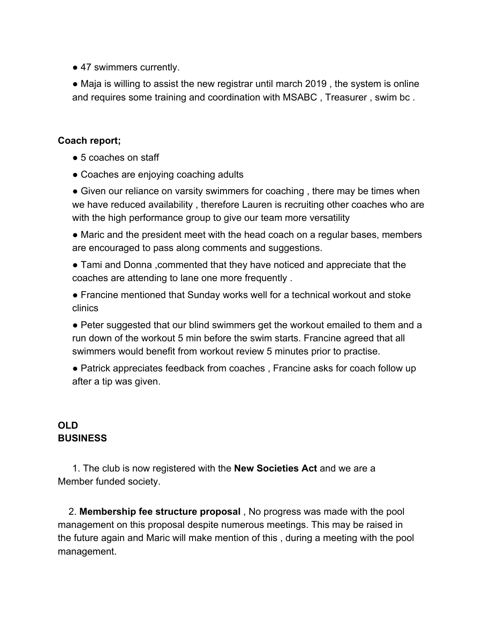• 47 swimmers currently.

• Maja is willing to assist the new registrar until march 2019, the system is online and requires some training and coordination with MSABC , Treasurer , swim bc .

### **Coach report;**

- 5 coaches on staff
- Coaches are enjoying coaching adults

• Given our reliance on varsity swimmers for coaching, there may be times when we have reduced availability , therefore Lauren is recruiting other coaches who are with the high performance group to give our team more versatility

• Maric and the president meet with the head coach on a regular bases, members are encouraged to pass along comments and suggestions.

● Tami and Donna ,commented that they have noticed and appreciate that the coaches are attending to lane one more frequently .

● Francine mentioned that Sunday works well for a technical workout and stoke clinics

● Peter suggested that our blind swimmers get the workout emailed to them and a run down of the workout 5 min before the swim starts. Francine agreed that all swimmers would benefit from workout review 5 minutes prior to practise.

● Patrick appreciates feedback from coaches , Francine asks for coach follow up after a tip was given.

### **OLD BUSINESS**

1. The club is now registered with the **New Societies Act** and we are a Member funded society.

2. **Membership fee structure proposal** , No progress was made with the pool management on this proposal despite numerous meetings. This may be raised in the future again and Maric will make mention of this , during a meeting with the pool management.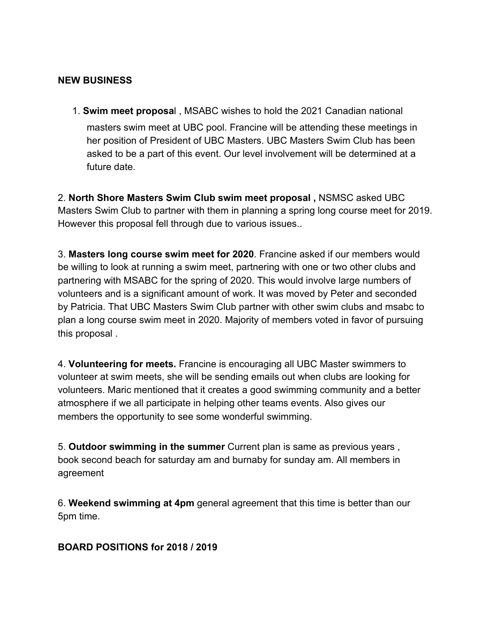### **NEW BUSINESS**

1. **Swim meet proposa**l , MSABC wishes to hold the 2021 Canadian national masters swim meet at UBC pool. Francine will be attending these meetings in her position of President of UBC Masters. UBC Masters Swim Club has been asked to be a part of this event. Our level involvement will be determined at a future date.

2. **North Shore Masters Swim Club swim meet proposal ,** NSMSC asked UBC Masters Swim Club to partner with them in planning a spring long course meet for 2019. However this proposal fell through due to various issues..

3. **Masters long course swim meet for 2020**. Francine asked if our members would be willing to look at running a swim meet, partnering with one or two other clubs and partnering with MSABC for the spring of 2020. This would involve large numbers of volunteers and is a significant amount of work. It was moved by Peter and seconded by Patricia. That UBC Masters Swim Club partner with other swim clubs and msabc to plan a long course swim meet in 2020. Majority of members voted in favor of pursuing this proposal .

4. **Volunteering for meets.** Francine is encouraging all UBC Master swimmers to volunteer at swim meets, she will be sending emails out when clubs are looking for volunteers. Maric mentioned that it creates a good swimming community and a better atmosphere if we all participate in helping other teams events. Also gives our members the opportunity to see some wonderful swimming.

5. **Outdoor swimming in the summer** Current plan is same as previous years , book second beach for saturday am and burnaby for sunday am. All members in agreement

6. **Weekend swimming at 4pm** general agreement that this time is better than our 5pm time.

**BOARD POSITIONS for 2018 / 2019**